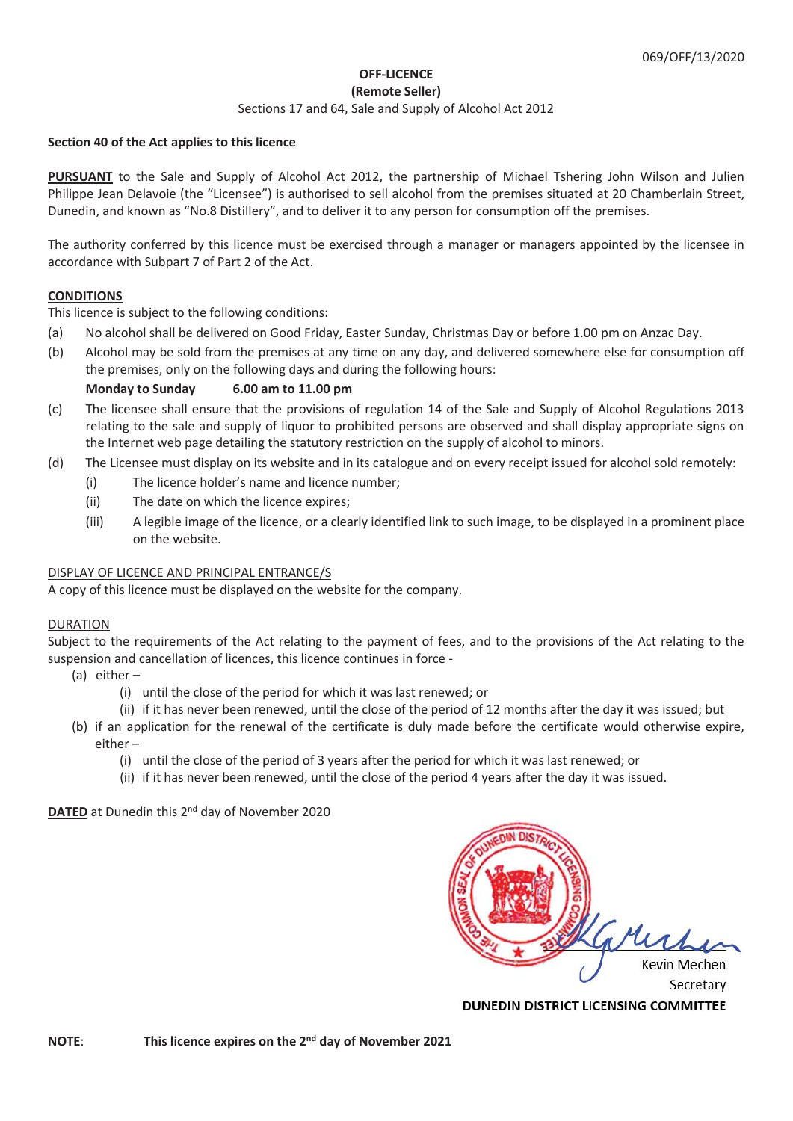# **OFF-LICENCE**

# **(Remote Seller)**

#### Sections 17 and 64, Sale and Supply of Alcohol Act 2012

#### **Section 40 of the Act applies to this licence**

**PURSUANT** to the Sale and Supply of Alcohol Act 2012, the partnership of Michael Tshering John Wilson and Julien Philippe Jean Delavoie (the "Licensee") is authorised to sell alcohol from the premises situated at 20 Chamberlain Street, Dunedin, and known as "No.8 Distillery", and to deliver it to any person for consumption off the premises.

The authority conferred by this licence must be exercised through a manager or managers appointed by the licensee in accordance with Subpart 7 of Part 2 of the Act.

### **CONDITIONS**

This licence is subject to the following conditions:

- (a) No alcohol shall be delivered on Good Friday, Easter Sunday, Christmas Day or before 1.00 pm on Anzac Day.
- (b) Alcohol may be sold from the premises at any time on any day, and delivered somewhere else for consumption off the premises, only on the following days and during the following hours:

# **Monday to Sunday 6.00 am to 11.00 pm**

- (c) The licensee shall ensure that the provisions of regulation 14 of the Sale and Supply of Alcohol Regulations 2013 relating to the sale and supply of liquor to prohibited persons are observed and shall display appropriate signs on the Internet web page detailing the statutory restriction on the supply of alcohol to minors.
- (d) The Licensee must display on its website and in its catalogue and on every receipt issued for alcohol sold remotely:
	- (i) The licence holder's name and licence number;
	- (ii) The date on which the licence expires;
	- (iii) A legible image of the licence, or a clearly identified link to such image, to be displayed in a prominent place on the website.

### DISPLAY OF LICENCE AND PRINCIPAL ENTRANCE/S

A copy of this licence must be displayed on the website for the company.

### DURATION

Subject to the requirements of the Act relating to the payment of fees, and to the provisions of the Act relating to the suspension and cancellation of licences, this licence continues in force -

- (a) either
	- (i) until the close of the period for which it was last renewed; or
	- (ii) if it has never been renewed, until the close of the period of 12 months after the day it was issued; but
- (b) if an application for the renewal of the certificate is duly made before the certificate would otherwise expire, either –
	- (i) until the close of the period of 3 years after the period for which it was last renewed; or
	- (ii) if it has never been renewed, until the close of the period 4 years after the day it was issued.

### **DATED** at Dunedin this 2<sup>nd</sup> day of November 2020



DUNEDIN DISTRICT LICENSING COMMITTEE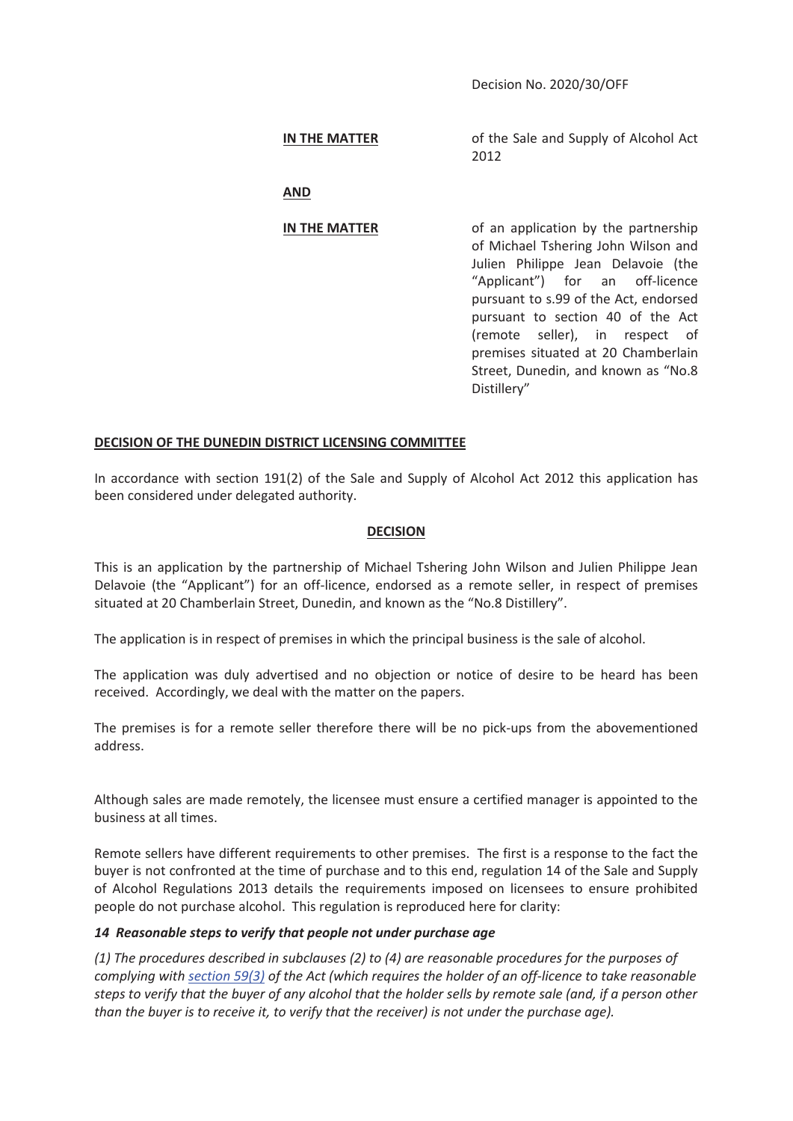Decision No. 2020/30/OFF

**IN THE MATTER** of the Sale and Supply of Alcohol Act

2012

 **AND**

**IN THE MATTER** of an application by the partnership of Michael Tshering John Wilson and Julien Philippe Jean Delavoie (the "Applicant") for an off-licence pursuant to s.99 of the Act, endorsed pursuant to section 40 of the Act (remote seller), in respect of premises situated at 20 Chamberlain Street, Dunedin, and known as "No.8 Distillery"

### **DECISION OF THE DUNEDIN DISTRICT LICENSING COMMITTEE**

In accordance with section 191(2) of the Sale and Supply of Alcohol Act 2012 this application has been considered under delegated authority.

#### **DECISION**

This is an application by the partnership of Michael Tshering John Wilson and Julien Philippe Jean Delavoie (the "Applicant") for an off-licence, endorsed as a remote seller, in respect of premises situated at 20 Chamberlain Street, Dunedin, and known as the "No.8 Distillery".

The application is in respect of premises in which the principal business is the sale of alcohol.

The application was duly advertised and no objection or notice of desire to be heard has been received. Accordingly, we deal with the matter on the papers.

The premises is for a remote seller therefore there will be no pick-ups from the abovementioned address.

Although sales are made remotely, the licensee must ensure a certified manager is appointed to the business at all times.

Remote sellers have different requirements to other premises. The first is a response to the fact the buyer is not confronted at the time of purchase and to this end, regulation 14 of the Sale and Supply of Alcohol Regulations 2013 details the requirements imposed on licensees to ensure prohibited people do not purchase alcohol. This regulation is reproduced here for clarity:

### *14 Reasonable steps to verify that people not under purchase age*

*(1) The procedures described in subclauses (2) to (4) are reasonable procedures for the purposes of complying with section 59(3) of the Act (which requires the holder of an off-licence to take reasonable steps to verify that the buyer of any alcohol that the holder sells by remote sale (and, if a person other than the buyer is to receive it, to verify that the receiver) is not under the purchase age).*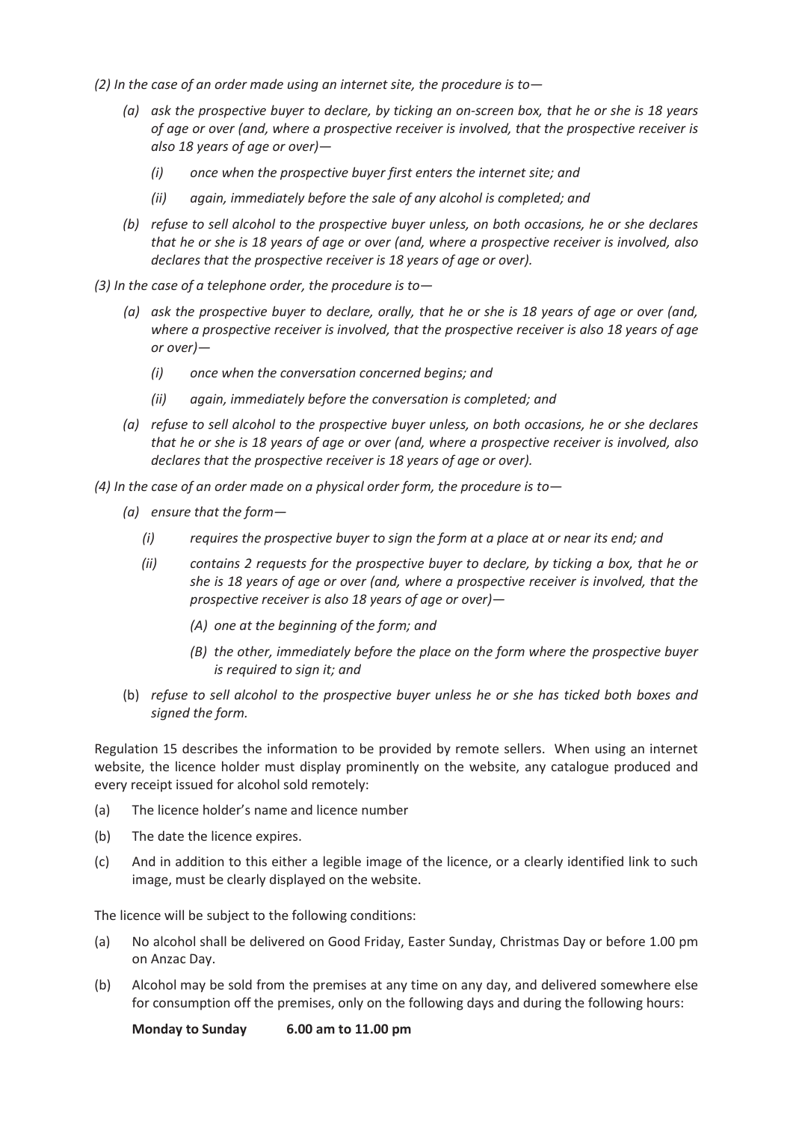*(2) In the case of an order made using an internet site, the procedure is to—* 

- *(a) ask the prospective buyer to declare, by ticking an on-screen box, that he or she is 18 years of age or over (and, where a prospective receiver is involved, that the prospective receiver is also 18 years of age or over)—* 
	- *(i) once when the prospective buyer first enters the internet site; and*
	- *(ii) again, immediately before the sale of any alcohol is completed; and*
- *(b) refuse to sell alcohol to the prospective buyer unless, on both occasions, he or she declares that he or she is 18 years of age or over (and, where a prospective receiver is involved, also declares that the prospective receiver is 18 years of age or over).*
- *(3) In the case of a telephone order, the procedure is to—* 
	- *(a) ask the prospective buyer to declare, orally, that he or she is 18 years of age or over (and, where a prospective receiver is involved, that the prospective receiver is also 18 years of age or over)—* 
		- *(i) once when the conversation concerned begins; and*
		- *(ii) again, immediately before the conversation is completed; and*
	- *(a) refuse to sell alcohol to the prospective buyer unless, on both occasions, he or she declares that he or she is 18 years of age or over (and, where a prospective receiver is involved, also declares that the prospective receiver is 18 years of age or over).*
- *(4) In the case of an order made on a physical order form, the procedure is to—* 
	- *(a) ensure that the form—* 
		- *(i) requires the prospective buyer to sign the form at a place at or near its end; and*
		- *(ii) contains 2 requests for the prospective buyer to declare, by ticking a box, that he or she is 18 years of age or over (and, where a prospective receiver is involved, that the prospective receiver is also 18 years of age or over)—* 
			- *(A) one at the beginning of the form; and*
			- *(B) the other, immediately before the place on the form where the prospective buyer is required to sign it; and*
	- (b) *refuse to sell alcohol to the prospective buyer unless he or she has ticked both boxes and signed the form.*

Regulation 15 describes the information to be provided by remote sellers. When using an internet website, the licence holder must display prominently on the website, any catalogue produced and every receipt issued for alcohol sold remotely:

- (a) The licence holder's name and licence number
- (b) The date the licence expires.
- (c) And in addition to this either a legible image of the licence, or a clearly identified link to such image, must be clearly displayed on the website.

The licence will be subject to the following conditions:

- (a) No alcohol shall be delivered on Good Friday, Easter Sunday, Christmas Day or before 1.00 pm on Anzac Day.
- (b) Alcohol may be sold from the premises at any time on any day, and delivered somewhere else for consumption off the premises, only on the following days and during the following hours:

 **Monday to Sunday 6.00 am to 11.00 pm**